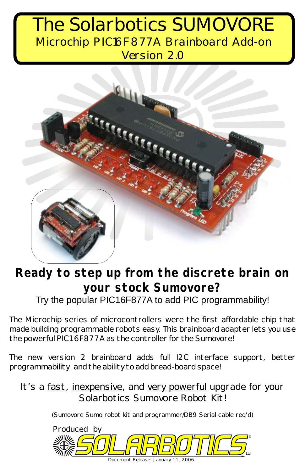## The Solarbotics SUMOVORE Version 2.0 Microchip PIC16F877A Brainboard Add-on



## **Ready to step up from the discrete brain on your stock Sumovore?** Try the popular PIC16F877A to add PIC programmability!

The Microchip series of microcontrollers were the first affordable chip that made building programmable robots easy. This brainboard adapter lets you use the powerful PIC16F877A as the controller for the Sumovore!

The new version 2 brainboard adds full I2C interface support, better programmability and the ability to add bread-board space!

It's a fast, inexpensive, and very powerful upgrade for your Solarbotics Sumovore Robot Kit!

(Sumovore Sumo robot kit and programmer/DB9 Serial cable req'd)

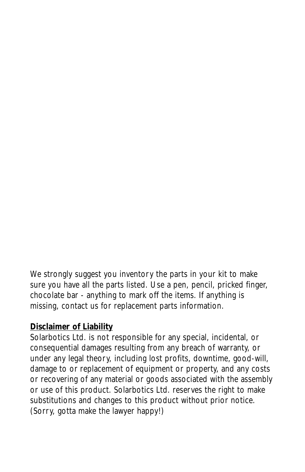We strongly suggest you inventory the parts in your kit to make sure you have all the parts listed. Use a pen, pencil, pricked finger, chocolate bar - anything to mark off the items. If anything is missing, contact us for replacement parts information.

#### **Disclaimer of Liability**

Solarbotics Ltd. is not responsible for any special, incidental, or consequential damages resulting from any breach of warranty, or under any legal theory, including lost profits, downtime, good-will, damage to or replacement of equipment or property, and any costs or recovering of any material or goods associated with the assembly or use of this product. Solarbotics Ltd. reserves the right to make substitutions and changes to this product without prior notice. (Sorry, gotta make the lawyer happy!)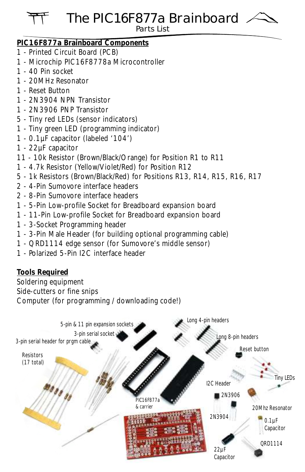#### The PIC16F877a Brainboard Parts List

#### **PIC16F877a Brainboard Components**

- 1 Printed Circuit Board (PCB)
- 1 Microchip PIC16F8778a Microcontroller
- 1 40 Pin socket
- 1 20MHz Resonator
- 1 Reset Button
- 1 2N3904 NPN Transistor
- 1 2N3906 PNP Transistor
- 5 Tiny red LEDs (sensor indicators)
- 1 Tiny green LED (programming indicator)
- 1 0.1µF capacitor (labeled '104')
- 1 22µF capacitor
- 11 10k Resistor (Brown/Black/Orange) for Position R1 to R11
- 1 4.7k Resistor (Yellow/Violet/Red) for Position R12
- 5 1k Resistors (Brown/Black/Red) for Positions R13, R14, R15, R16, R17
- 2 4-Pin Sumovore interface headers
- 2 8-Pin Sumovore interface headers
- 1 5-Pin Low-profile Socket for Breadboard expansion board
- 1 11-Pin Low-profile Socket for Breadboard expansion board
- 1 3-Socket Programming header
- 1 3-Pin Male Header (for building optional programming cable)
- 1 QRD1114 edge sensor (for Sumovore's middle sensor)
- 1 Polarized 5-Pin I2C interface header

**Tools Required**

Soldering equipment Side-cutters or fine snips Computer (for programming / downloading code!)

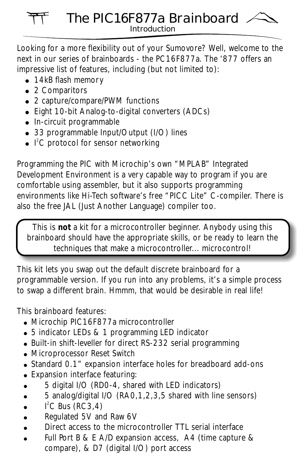# The PIC16F877a Brainboard

Introduction

Looking for a more flexibility out of your Sumovore? Well, welcome to the next in our series of brainboards - the PC16F877a. The '877 offers an impressive list of features, including (but not limited to):

- 14kB flash memory
- 2 Comparitors
- 2 capture/compare/PWM functions
- Eight 10-bit Analog-to-digital converters (ADCs)
- In-circuit programmable
- 33 programmable Input/Output (I/O) lines
- $\bullet$   $\vert$ <sup>2</sup>C protocol for sensor networking

Programming the PIC with Microchip's own "MPLAB" Integrated Development Environment is a very capable way to program if you are comfortable using assembler, but it also supports programming environments like Hi-Tech software's free "PICC Lite" C-compiler. There is also the free JAL (Just Another Language) compiler too.

This is **not** a kit for a microcontroller beginner. Anybody using this brainboard should have the appropriate skills, or be ready to learn the techniques that make a microcontroller... microcontrol!

This kit lets you swap out the default discrete brainboard for a programmable version. If you run into any problems, it's a simple process to swap a different brain. Hmmm, that would be desirable in real life!

This brainboard features:

- . Microchip PIC16F877a microcontroller
- 5 indicator LEDs & 1 programming LED indicator
- Built-in shift-leveller for direct RS-232 serial programming
- Microprocessor Reset Switch
- Standard 0.1" expansion interface holes for breadboard add-ons
- Expansion interface featuring:
- 5 digital I/O (RD0-4, shared with LED indicators)
- 5 analog/digital I/O (RA0,1,2,3,5 shared with line sensors)
- $\bullet$  I<sup>2</sup>C Bus (RC3,4)
- Regulated 5V and Raw 6V
- Direct access to the microcontroller TTL serial interface
- Full Port B & E A/D expansion access, A4 (time capture & compare), & D7 (digital I/O) port access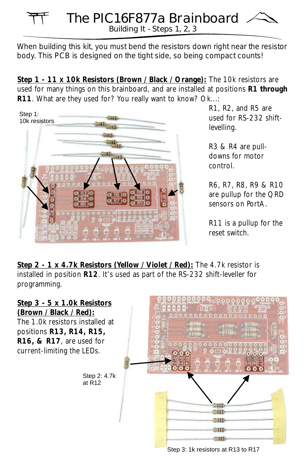#### Building It - Steps 1, 2, 3 The PIC16F877a Brainboard

When building this kit, you *must* bend the resistors down right near the resistor body. This PCB is designed on the tight side, so being compact counts!

**Step 1 - 11 x 10k Resistors (Brown / Black / Orange):** The 10k resistors are used for many things on this brainboard, and are installed at positions **R1 through R11**. What are they used for? You really want to know? Ok...:



R1, R2, and R5 are used for RS-232 shiftlevelling.

R3 & R4 are pulldowns for motor control.

R6, R7, R8, R9 & R10 are pullup for the QRD sensors on PortA.

R11 is a pullup for the reset switch.

**Step 2 - 1 x 4.7k Resistors (Yellow / Violet / Red):** The 4.7k resistor is installed in position **R12**. It's used as part of the RS-232 shift-leveller for programming.

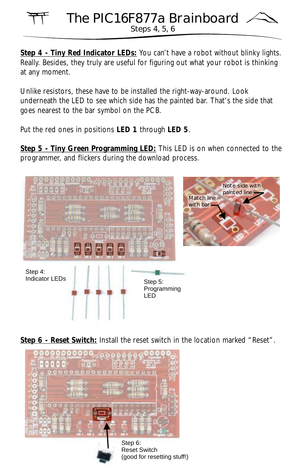#### Steps 4, 5, 6 The PIC16F877a Brainboard

Step 4 - Tiny Red Indicator LEDs: You can't have a robot without blinky lights. Really. Besides, they truly are useful for figuring out what your robot is thinking at any moment.

Unlike resistors, these have to be installed the right-way-around. Look underneath the LED to see which side has the painted bar. That's the side that goes nearest to the bar symbol on the PCB.

Put the red ones in positions **LED 1** through **LED 5**.

**Step 5 - Tiny Green Programming LED:** This LED is on when connected to the programmer, and flickers during the download process.



**Step 6 - Reset Switch:** Install the reset switch in the location marked "Reset".

(good for resetting stuff!)

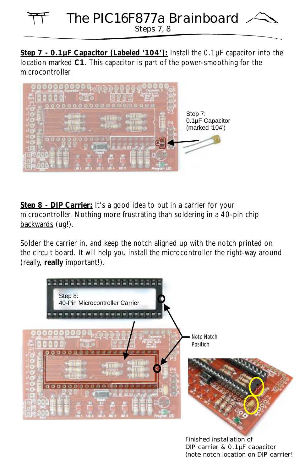## Steps 7, 8 The PIC16F877a Brainboard

Step 7 - 0.1µF Capacitor (Labeled '104'): Install the 0.1µF capacitor into the location marked **C1**. This capacitor is part of the power-smoothing for the microcontroller.



Step 8 - DIP Carrier: It's a good idea to put in a carrier for your microcontroller. Nothing more frustrating than soldering in a 40-pin chip backwards (ug!).

Solder the carrier in, and keep the notch aligned up with the notch printed on the circuit board. It will help you install the microcontroller the right-way around (really, **really** important!).



*DIP carrier & 0.1µF capacitor (note notch location on DIP carrier!*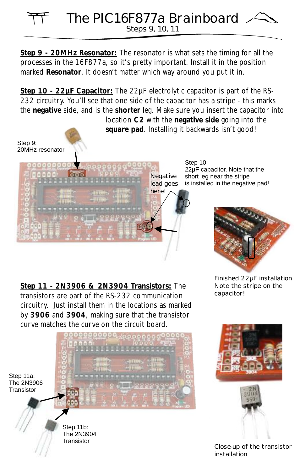Step 9 - 20MHz Resonator: The resonator is what sets the timing for all the processes in the 16F877a, so it's pretty important. Install it in the position marked **Resonator**. It doesn't matter which way around you put it in.

**Step 10 - 22µF Capacitor:** The 22µF electrolytic capacitor is part of the RS-232 circuitry. You'll see that one side of the capacitor has a stripe - this marks the **negative** side, and is the **shorter** leg. Make sure you insert the capacitor into

location **C2** with the **negative side** going into the **square pad**. Installing it backwards isn't good!





Step 10: 22µF capacitor. Note that the short leg near the stripe is installed in the negative pad!



**JOSPAN** 

**Step 11 - 2N3906 & 2N3904 Transistors:** The transistors are part of the RS-232 communication circuitry. Just install them in the locations as marked by **3906** and **3904**, making sure that the transistor curve matches the curve on the circuit board.

*Note the stripe on the capacitor!*





*Close-up of the transistor installation*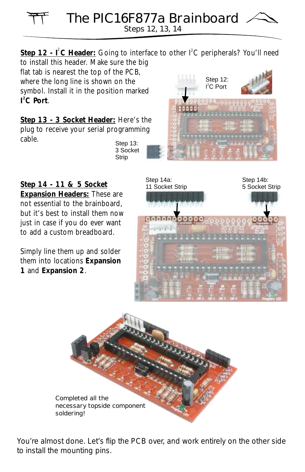The PIC16F877a Brainboard

Steps 12, 13, 14

Step 12 - I<sup>2</sup>C Header: Going to interface to other I<sup>2</sup>C peripherals? You'll need to install this header. Make sure the big

flat tab is nearest the top of the PCB, where the long line is shown on the symbol. Install it in the position marked **2 I C Port**.

**Step 13 - 3 Socket Header:** Here's the plug to receive your serial programming cable.

Step 13: 3 Socket **Strip** 

**Step 14 - 11 & 5 Socket Expansion Headers:** These are not essential to the brainboard, but it's best to install them now just in case if you do ever want to add a custom breadboard.

Simply line them up and solder them into locations **Expansion 1** and **Expansion 2**.



Step 12: l<sup>2</sup>C Port



You're almost done. Let's flip the PCB over, and work entirely on the other side to install the mounting pins.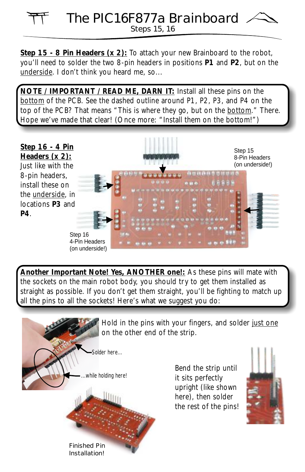#### Steps 15, 16 The PIC16F877a Brainboard

Step 15 - 8 Pin Headers (x 2): To attach your new Brainboard to the robot, you'll need to solder the two 8-pin headers in positions **P1** and **P2**, but on the underside. I don't think you heard me, so...

**NOTE / IMPORTANT / READ ME, DARN IT:** Install all these pins on the bottom of the PCB. See the dashed outline around P1, P2, P3, and P4 on the top of the PCB? That means "This is where they go, but on the bottom." There. Hope we've made that clear! (Once more: "Install them on the bottom!")



**Another Important Note! Yes, ANOTHER one!:** As these pins will mate with the sockets on the main robot body, you should try to get them installed as straight as possible. If you don't get them straight, you'll be fighting to match up all the pins to all the sockets! Here's what we suggest you do:

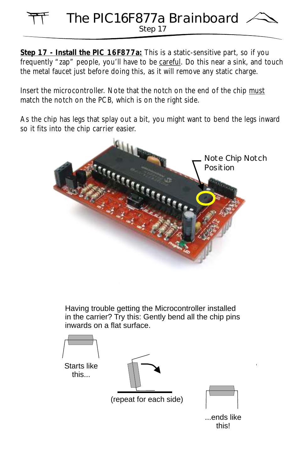#### Step 17 The PIC16F877a Brainboard

**Step 17 - Install the PIC 16F877a:** This is a static-sensitive part, so if you frequently "zap" people, you'll have to be careful. Do this near a sink, and touch the metal faucet just before doing this, as it will remove any static charge.

Insert the microcontroller. Note that the notch on the end of the chip must match the notch on the PCB, which is on the right side.

As the chip has legs that splay out a bit, you might want to bend the legs inward so it fits into the chip carrier easier.



Having trouble getting the Microcontroller installed in the carrier? Try this: Gently bend all the chip pins inwards on a flat surface.



...ends like this!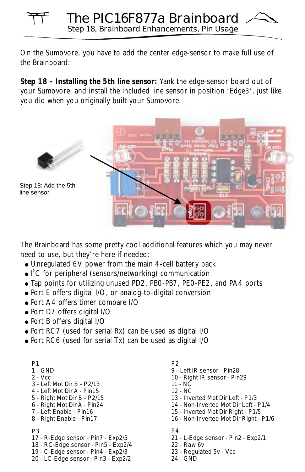On the Sumovore, you have to add the center edge-sensor to make full use of the Brainboard:

**Step 18 - Installing the 5th line sensor:** Yank the edge-sensor board out of your Sumovore, and install the included line sensor in position 'Edge3', just like you did when you originally built your Sumovore.



The Brainboard has some pretty cool additional features which you may never need to use, but they're here if needed:

- ! Unregulated 6V power from the main 4-cell battery pack
- I<sup>2</sup>C for peripheral (sensors/networking) communication
- ! Tap points for utilizing unused PD2, PB0-PB7, PE0-PE2, and PA4 ports
- ! Port E offers digital I/O, or analog-to-digital conversion
- Port A4 offers timer compare I/O
- . Port D7 offers digital I/O
- Port B offers digital I/O
- ! Port RC7 (used for serial Rx) can be used as digital I/O
- ! Port RC6 (used for serial Tx) can be used as digital I/O

| P <sub>1</sub>                      |
|-------------------------------------|
| 1 - GND                             |
| $2 - Vcc$                           |
| 3 - I eft Mot Dir B - P2/13         |
| 4 - I eft Mot Dir A - Pin15         |
| 5 - Right Mot Dir B - P2/15         |
| 6 - Right Mot Dir A - Pin24         |
| 7 - I eft Fnable - Pin16            |
| 8 - Right Enable - Pin17            |
|                                     |
| PЗ                                  |
| 17 - R-Edge sensor - Pin7 - Exp2/5  |
| 18 - RC-Edge sensor - Pin5 - Exp2/4 |
| 19 - C-Edge sensor - Pin4 - Exp2/3  |
| 20 - LC-Edge sensor - Pin3 - Exp2/2 |

- *P2*
- *9 Left IR sensor Pin28*
- *10 Right IR sensor Pin29*
- *11 NC*
- *12 NC*
- *13 Inverted Mot Dir Left P1/3*
- *14 Non-Inverted Mot Dir Left P1/4*
- *15 Inverted Mot Dir Right P1/5*
- *16 Non-Inverted Mot Dir Right P1/6*
- *P4*
- *21 L-Edge sensor Pin2 Exp2/1*
- *22 Raw 6v*
- *23 Regulated 5v Vcc*
- *24 GND*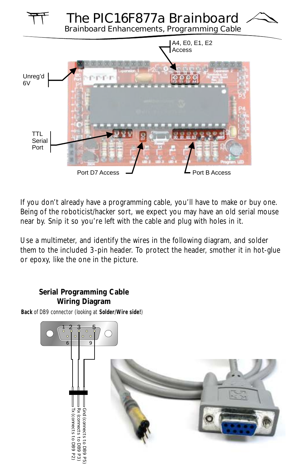

If you don't already have a programming cable, you'll have to make or buy one. Being of the roboticist/hacker sort, we expect you may have an old serial mouse near by. Snip it so you're left with the cable and plug with holes in it.

Use a multimeter, and identify the wires in the following diagram, and solder them to the included 3-pin header. To protect the header, smother it in hot-glue or epoxy, like the one in the picture.

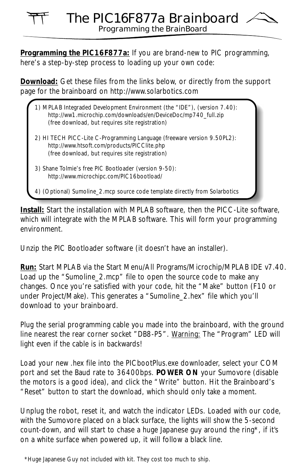#### Programming the BrainBoard The PIC16F877a Brainboard

**Programming the PIC16F877a:** If you are brand-new to PIC programming, here's a step-by-step process to loading up your own code:

**Download:** Get these files from the links below, or directly from the support page for the brainboard on http://www.solarbotics.com

| 1) MPLAB Integraded Development Environment (the "IDE"), (version 7.40):<br>http://ww1.microchip.com/downloads/en/DeviceDoc/mp740 full.zip<br>(free download, but requires site registration) |
|-----------------------------------------------------------------------------------------------------------------------------------------------------------------------------------------------|
| 2) HI TECH PICC-Lite C-Programming Language (freeware version 9.50PL2):<br>http://www.htsoft.com/products/PICClite.php<br>(free download, but requires site registration)                     |
| 3) Shane Tolmie's free PIC Bootloader (version 9-50):<br>http://www.microchipc.com/PIC16bootload/                                                                                             |
| 4) (Optional) Sumoline_2.mcp source code template directly from Solarbotics                                                                                                                   |

**Install:** Start the installation with MPLAB software, then the PICC-Lite software, which will integrate with the MPLAB software. This will form your programming environment.

Unzip the PIC Bootloader software (it doesn't have an installer).

**Run:** Start MPLAB via the Start Menu/All Programs/Microchip/MPLAB IDE v7.40. Load up the "Sumoline 2.mcp" file to open the source code to make any changes. Once you're satisfied with your code, hit the "Make" button (F10 or under Project/Make). This generates a "Sumoline\_2.hex" file which you'll download to your brainboard.

Plug the serial programming cable you made into the brainboard, with the ground line nearest the rear corner socket "DB8-P5". Warning: The "Program" LED will light even if the cable is in backwards!

Load your new .hex file into the PICbootPlus.exe downloader, select your COM port and set the Baud rate to 36400bps. **POWER ON** your Sumovore (disable the motors is a good idea), and click the "Write" button. Hit the Brainboard's "Reset" button to start the download, which should only take a moment.

Unplug the robot, reset it, and watch the indicator LEDs. Loaded with our code, with the Sumovore placed on a black surface, the lights will show the 5-second count-down, and will start to chase a huge Japanese guy around the ring\*, if it's on a white surface when powered up, it will follow a black line.

<sup>\*</sup>Huge Japanese Guy not included with kit. They cost too much to ship.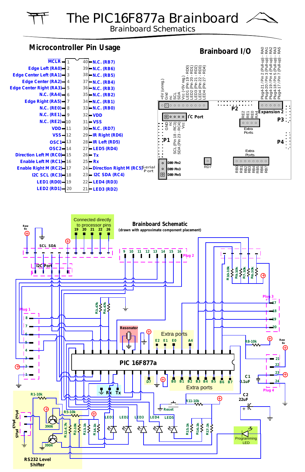The PIC16F877a Brainboard

Brainboard Schematics